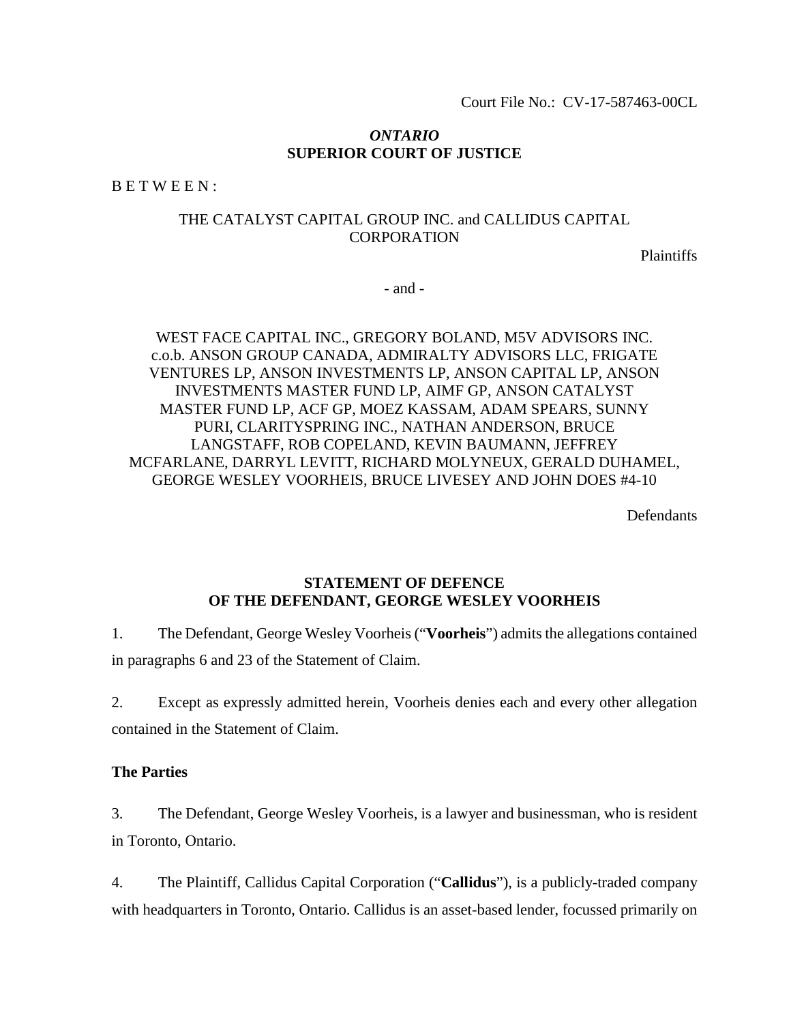#### *ONTARIO* **SUPERIOR COURT OF JUSTICE**

B E T W E E N :

## THE CATALYST CAPITAL GROUP INC. and CALLIDUS CAPITAL **CORPORATION**

Plaintiffs

- and -

## WEST FACE CAPITAL INC., GREGORY BOLAND, M5V ADVISORS INC. c.o.b. ANSON GROUP CANADA, ADMIRALTY ADVISORS LLC, FRIGATE VENTURES LP, ANSON INVESTMENTS LP, ANSON CAPITAL LP, ANSON INVESTMENTS MASTER FUND LP, AIMF GP, ANSON CATALYST MASTER FUND LP, ACF GP, MOEZ KASSAM, ADAM SPEARS, SUNNY PURI, CLARITYSPRING INC., NATHAN ANDERSON, BRUCE LANGSTAFF, ROB COPELAND, KEVIN BAUMANN, JEFFREY MCFARLANE, DARRYL LEVITT, RICHARD MOLYNEUX, GERALD DUHAMEL, GEORGE WESLEY VOORHEIS, BRUCE LIVESEY AND JOHN DOES #4-10

**Defendants** 

## **STATEMENT OF DEFENCE OF THE DEFENDANT, GEORGE WESLEY VOORHEIS**

1. The Defendant, George Wesley Voorheis ("**Voorheis**") admits the allegations contained in paragraphs 6 and 23 of the Statement of Claim.

2. Except as expressly admitted herein, Voorheis denies each and every other allegation contained in the Statement of Claim.

#### **The Parties**

3. The Defendant, George Wesley Voorheis, is a lawyer and businessman, who is resident in Toronto, Ontario.

4. The Plaintiff, Callidus Capital Corporation ("**Callidus**"), is a publicly-traded company with headquarters in Toronto, Ontario. Callidus is an asset-based lender, focussed primarily on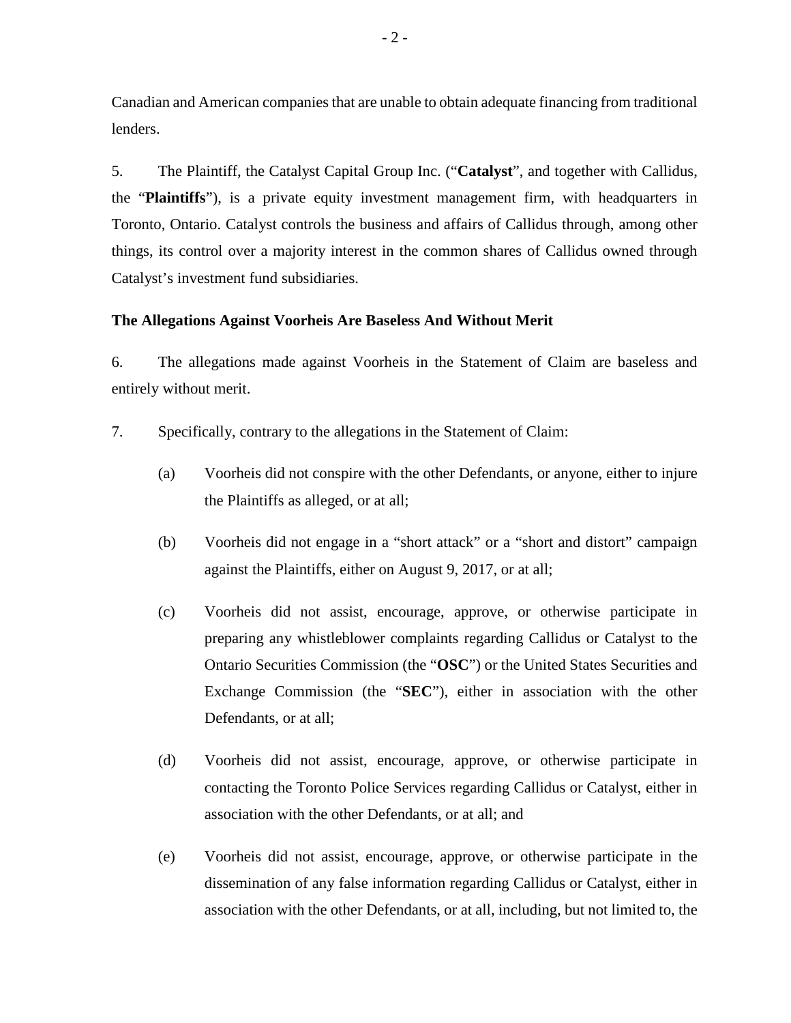Canadian and American companies that are unable to obtain adequate financing from traditional lenders.

5. The Plaintiff, the Catalyst Capital Group Inc. ("**Catalyst**", and together with Callidus, the "**Plaintiffs**"), is a private equity investment management firm, with headquarters in Toronto, Ontario. Catalyst controls the business and affairs of Callidus through, among other things, its control over a majority interest in the common shares of Callidus owned through Catalyst's investment fund subsidiaries.

### **The Allegations Against Voorheis Are Baseless And Without Merit**

6. The allegations made against Voorheis in the Statement of Claim are baseless and entirely without merit.

- 7. Specifically, contrary to the allegations in the Statement of Claim:
	- (a) Voorheis did not conspire with the other Defendants, or anyone, either to injure the Plaintiffs as alleged, or at all;
	- (b) Voorheis did not engage in a "short attack" or a "short and distort" campaign against the Plaintiffs, either on August 9, 2017, or at all;
	- (c) Voorheis did not assist, encourage, approve, or otherwise participate in preparing any whistleblower complaints regarding Callidus or Catalyst to the Ontario Securities Commission (the "**OSC**") or the United States Securities and Exchange Commission (the "**SEC**"), either in association with the other Defendants, or at all;
	- (d) Voorheis did not assist, encourage, approve, or otherwise participate in contacting the Toronto Police Services regarding Callidus or Catalyst, either in association with the other Defendants, or at all; and
	- (e) Voorheis did not assist, encourage, approve, or otherwise participate in the dissemination of any false information regarding Callidus or Catalyst, either in association with the other Defendants, or at all, including, but not limited to, the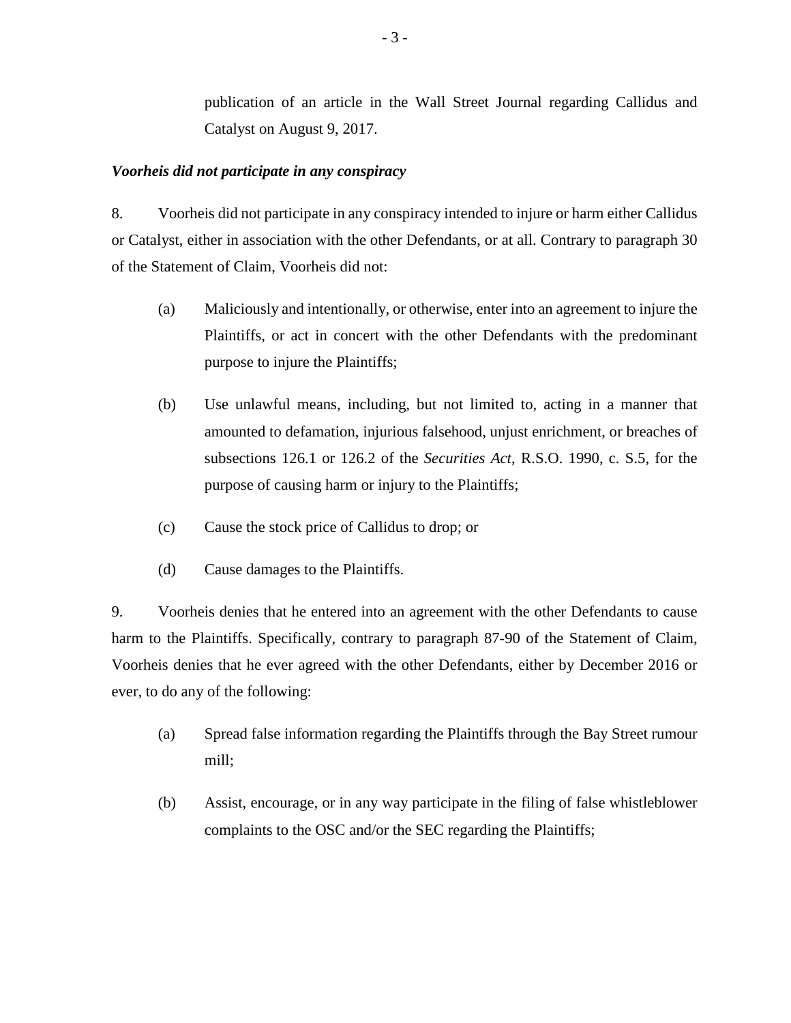publication of an article in the Wall Street Journal regarding Callidus and Catalyst on August 9, 2017.

### *Voorheis did not participate in any conspiracy*

8. Voorheis did not participate in any conspiracy intended to injure or harm either Callidus or Catalyst, either in association with the other Defendants, or at all. Contrary to paragraph 30 of the Statement of Claim, Voorheis did not:

- (a) Maliciously and intentionally, or otherwise, enter into an agreement to injure the Plaintiffs, or act in concert with the other Defendants with the predominant purpose to injure the Plaintiffs;
- (b) Use unlawful means, including, but not limited to, acting in a manner that amounted to defamation, injurious falsehood, unjust enrichment, or breaches of subsections 126.1 or 126.2 of the *Securities Act*, R.S.O. 1990, c. S.5, for the purpose of causing harm or injury to the Plaintiffs;
- (c) Cause the stock price of Callidus to drop; or
- (d) Cause damages to the Plaintiffs.

9. Voorheis denies that he entered into an agreement with the other Defendants to cause harm to the Plaintiffs. Specifically, contrary to paragraph 87-90 of the Statement of Claim, Voorheis denies that he ever agreed with the other Defendants, either by December 2016 or ever, to do any of the following:

- (a) Spread false information regarding the Plaintiffs through the Bay Street rumour mill;
- (b) Assist, encourage, or in any way participate in the filing of false whistleblower complaints to the OSC and/or the SEC regarding the Plaintiffs;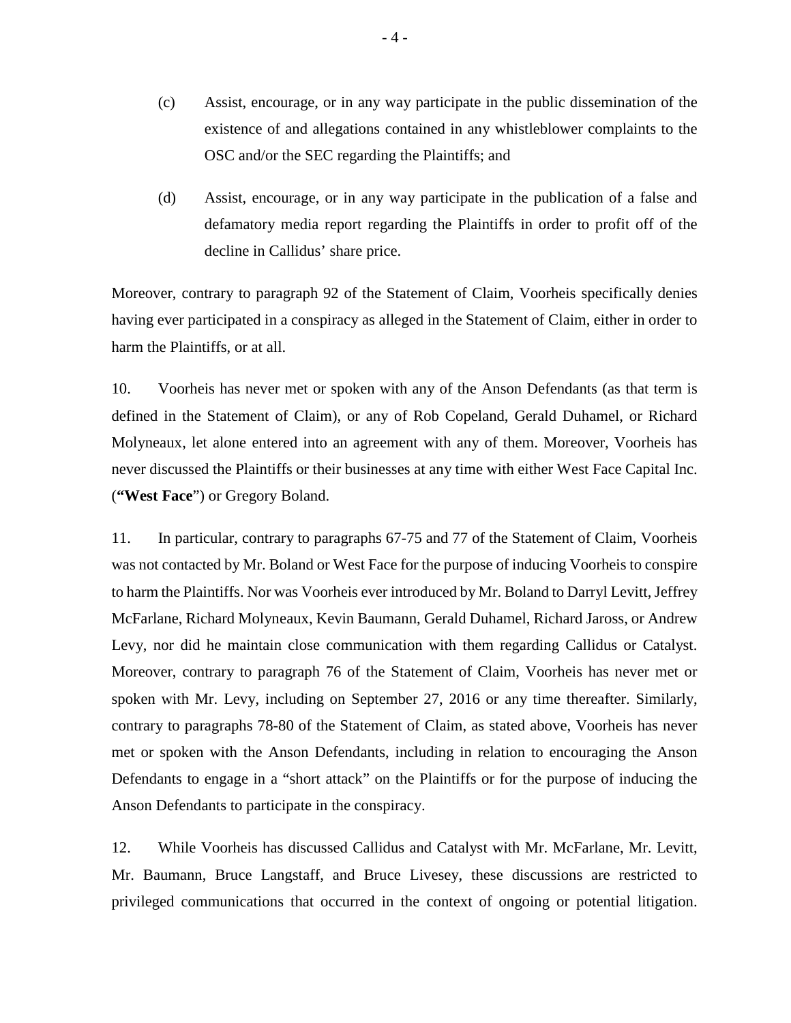- (c) Assist, encourage, or in any way participate in the public dissemination of the existence of and allegations contained in any whistleblower complaints to the OSC and/or the SEC regarding the Plaintiffs; and
- (d) Assist, encourage, or in any way participate in the publication of a false and defamatory media report regarding the Plaintiffs in order to profit off of the decline in Callidus' share price.

Moreover, contrary to paragraph 92 of the Statement of Claim, Voorheis specifically denies having ever participated in a conspiracy as alleged in the Statement of Claim, either in order to harm the Plaintiffs, or at all.

10. Voorheis has never met or spoken with any of the Anson Defendants (as that term is defined in the Statement of Claim), or any of Rob Copeland, Gerald Duhamel, or Richard Molyneaux, let alone entered into an agreement with any of them. Moreover, Voorheis has never discussed the Plaintiffs or their businesses at any time with either West Face Capital Inc. (**"West Face**") or Gregory Boland.

11. In particular, contrary to paragraphs 67-75 and 77 of the Statement of Claim, Voorheis was not contacted by Mr. Boland or West Face for the purpose of inducing Voorheis to conspire to harm the Plaintiffs. Nor was Voorheis ever introduced by Mr. Boland to Darryl Levitt, Jeffrey McFarlane, Richard Molyneaux, Kevin Baumann, Gerald Duhamel, Richard Jaross, or Andrew Levy, nor did he maintain close communication with them regarding Callidus or Catalyst. Moreover, contrary to paragraph 76 of the Statement of Claim, Voorheis has never met or spoken with Mr. Levy, including on September 27, 2016 or any time thereafter. Similarly, contrary to paragraphs 78-80 of the Statement of Claim, as stated above, Voorheis has never met or spoken with the Anson Defendants, including in relation to encouraging the Anson Defendants to engage in a "short attack" on the Plaintiffs or for the purpose of inducing the Anson Defendants to participate in the conspiracy.

12. While Voorheis has discussed Callidus and Catalyst with Mr. McFarlane, Mr. Levitt, Mr. Baumann, Bruce Langstaff, and Bruce Livesey, these discussions are restricted to privileged communications that occurred in the context of ongoing or potential litigation.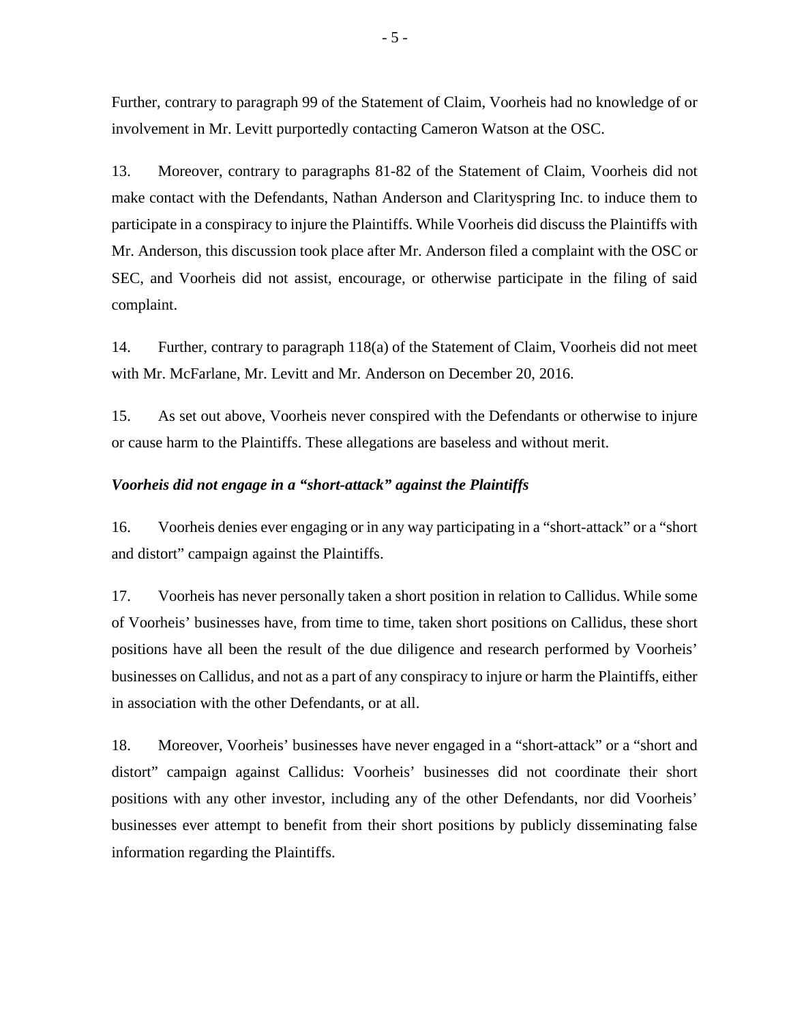Further, contrary to paragraph 99 of the Statement of Claim, Voorheis had no knowledge of or involvement in Mr. Levitt purportedly contacting Cameron Watson at the OSC.

13. Moreover, contrary to paragraphs 81-82 of the Statement of Claim, Voorheis did not make contact with the Defendants, Nathan Anderson and Clarityspring Inc. to induce them to participate in a conspiracy to injure the Plaintiffs. While Voorheis did discuss the Plaintiffs with Mr. Anderson, this discussion took place after Mr. Anderson filed a complaint with the OSC or SEC, and Voorheis did not assist, encourage, or otherwise participate in the filing of said complaint.

14. Further, contrary to paragraph 118(a) of the Statement of Claim, Voorheis did not meet with Mr. McFarlane, Mr. Levitt and Mr. Anderson on December 20, 2016.

15. As set out above, Voorheis never conspired with the Defendants or otherwise to injure or cause harm to the Plaintiffs. These allegations are baseless and without merit.

#### *Voorheis did not engage in a "short-attack" against the Plaintiffs*

16. Voorheis denies ever engaging or in any way participating in a "short-attack" or a "short and distort" campaign against the Plaintiffs.

17. Voorheis has never personally taken a short position in relation to Callidus. While some of Voorheis' businesses have, from time to time, taken short positions on Callidus, these short positions have all been the result of the due diligence and research performed by Voorheis' businesses on Callidus, and not as a part of any conspiracy to injure or harm the Plaintiffs, either in association with the other Defendants, or at all.

18. Moreover, Voorheis' businesses have never engaged in a "short-attack" or a "short and distort" campaign against Callidus: Voorheis' businesses did not coordinate their short positions with any other investor, including any of the other Defendants, nor did Voorheis' businesses ever attempt to benefit from their short positions by publicly disseminating false information regarding the Plaintiffs.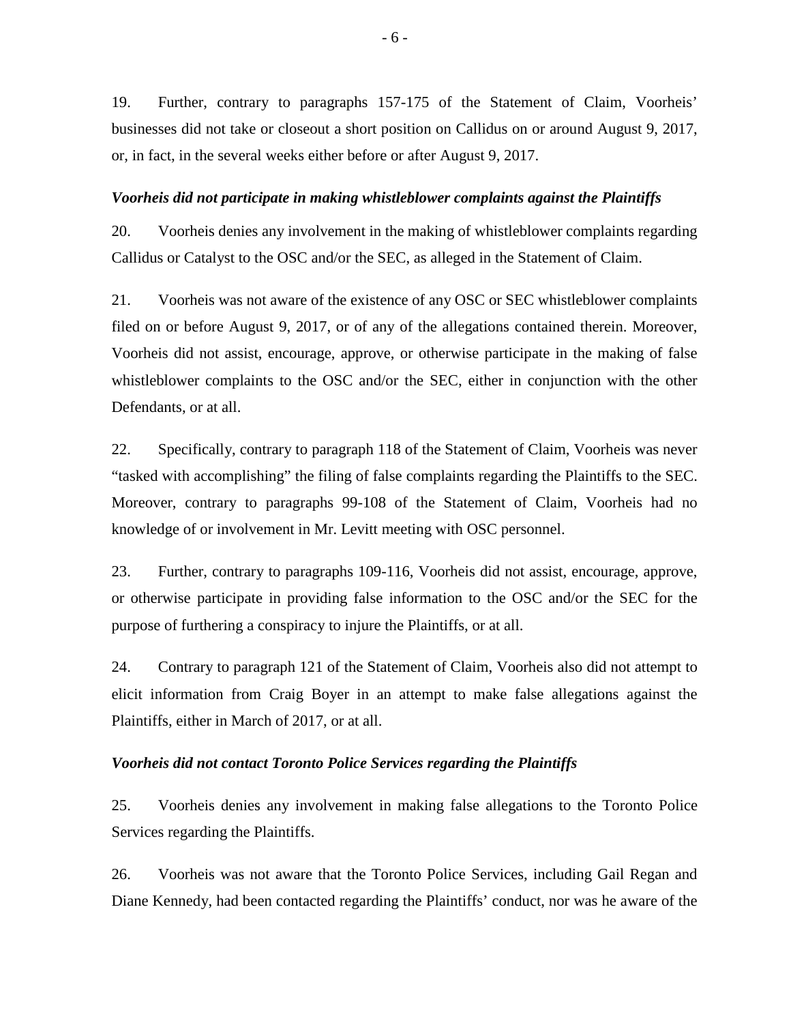19. Further, contrary to paragraphs 157-175 of the Statement of Claim, Voorheis' businesses did not take or closeout a short position on Callidus on or around August 9, 2017, or, in fact, in the several weeks either before or after August 9, 2017.

#### *Voorheis did not participate in making whistleblower complaints against the Plaintiffs*

20. Voorheis denies any involvement in the making of whistleblower complaints regarding Callidus or Catalyst to the OSC and/or the SEC, as alleged in the Statement of Claim.

21. Voorheis was not aware of the existence of any OSC or SEC whistleblower complaints filed on or before August 9, 2017, or of any of the allegations contained therein. Moreover, Voorheis did not assist, encourage, approve, or otherwise participate in the making of false whistleblower complaints to the OSC and/or the SEC, either in conjunction with the other Defendants, or at all.

22. Specifically, contrary to paragraph 118 of the Statement of Claim, Voorheis was never "tasked with accomplishing" the filing of false complaints regarding the Plaintiffs to the SEC. Moreover, contrary to paragraphs 99-108 of the Statement of Claim, Voorheis had no knowledge of or involvement in Mr. Levitt meeting with OSC personnel.

23. Further, contrary to paragraphs 109-116, Voorheis did not assist, encourage, approve, or otherwise participate in providing false information to the OSC and/or the SEC for the purpose of furthering a conspiracy to injure the Plaintiffs, or at all.

24. Contrary to paragraph 121 of the Statement of Claim, Voorheis also did not attempt to elicit information from Craig Boyer in an attempt to make false allegations against the Plaintiffs, either in March of 2017, or at all.

#### *Voorheis did not contact Toronto Police Services regarding the Plaintiffs*

25. Voorheis denies any involvement in making false allegations to the Toronto Police Services regarding the Plaintiffs.

26. Voorheis was not aware that the Toronto Police Services, including Gail Regan and Diane Kennedy, had been contacted regarding the Plaintiffs' conduct, nor was he aware of the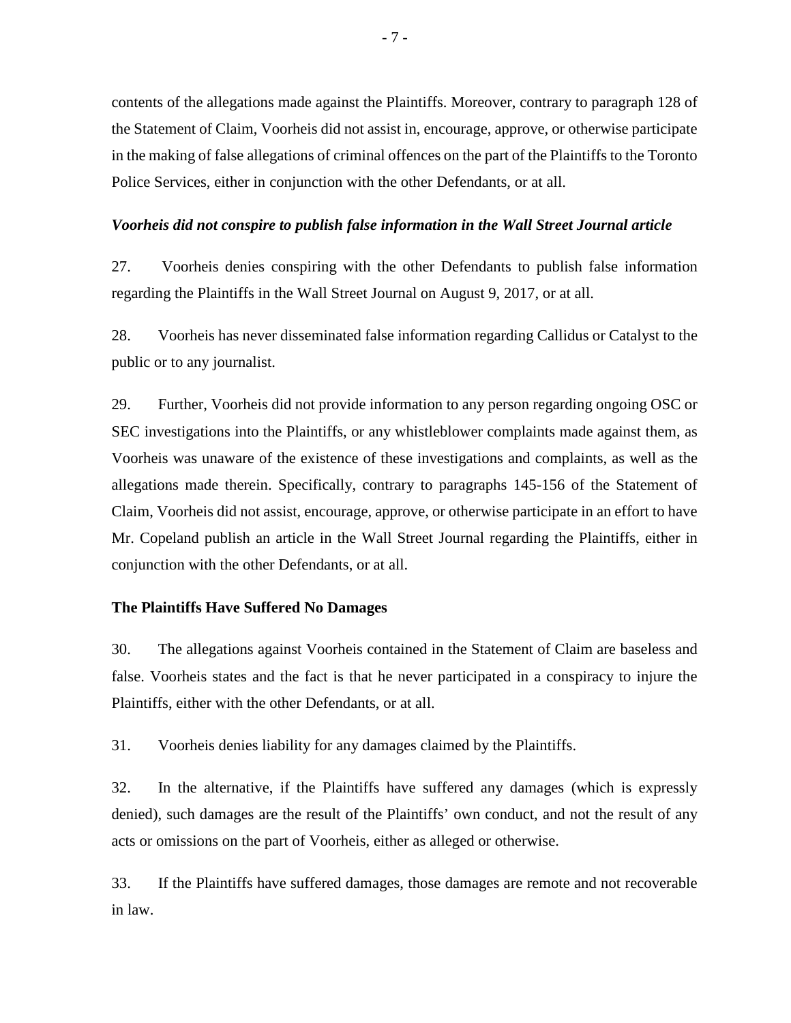contents of the allegations made against the Plaintiffs. Moreover, contrary to paragraph 128 of the Statement of Claim, Voorheis did not assist in, encourage, approve, or otherwise participate in the making of false allegations of criminal offences on the part of the Plaintiffs to the Toronto Police Services, either in conjunction with the other Defendants, or at all.

#### *Voorheis did not conspire to publish false information in the Wall Street Journal article*

27. Voorheis denies conspiring with the other Defendants to publish false information regarding the Plaintiffs in the Wall Street Journal on August 9, 2017, or at all.

28. Voorheis has never disseminated false information regarding Callidus or Catalyst to the public or to any journalist.

29. Further, Voorheis did not provide information to any person regarding ongoing OSC or SEC investigations into the Plaintiffs, or any whistleblower complaints made against them, as Voorheis was unaware of the existence of these investigations and complaints, as well as the allegations made therein. Specifically, contrary to paragraphs 145-156 of the Statement of Claim, Voorheis did not assist, encourage, approve, or otherwise participate in an effort to have Mr. Copeland publish an article in the Wall Street Journal regarding the Plaintiffs, either in conjunction with the other Defendants, or at all.

#### **The Plaintiffs Have Suffered No Damages**

30. The allegations against Voorheis contained in the Statement of Claim are baseless and false. Voorheis states and the fact is that he never participated in a conspiracy to injure the Plaintiffs, either with the other Defendants, or at all.

31. Voorheis denies liability for any damages claimed by the Plaintiffs.

32. In the alternative, if the Plaintiffs have suffered any damages (which is expressly denied), such damages are the result of the Plaintiffs' own conduct, and not the result of any acts or omissions on the part of Voorheis, either as alleged or otherwise.

33. If the Plaintiffs have suffered damages, those damages are remote and not recoverable in law.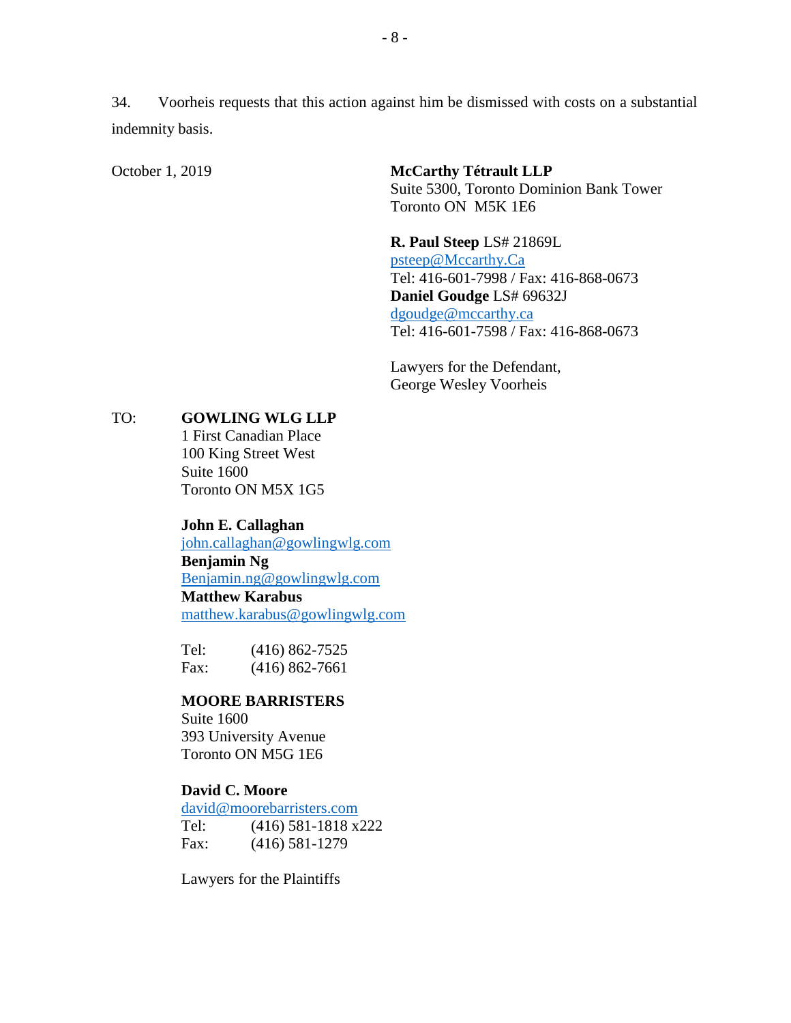34. Voorheis requests that this action against him be dismissed with costs on a substantial indemnity basis.

October 1, 2019 **McCarthy Tétrault LLP**  Suite 5300, Toronto Dominion Bank Tower Toronto ON M5K 1E6

> **R. Paul Steep** LS# 21869L [psteep@Mccarthy.Ca](mailto:psteep@Mccarthy.Ca) Tel: 416-601-7998 / Fax: 416-868-0673 **Daniel Goudge** LS# 69632J [dgoudge@mccarthy.ca](mailto:dgoudge@mccarthy.ca) Tel: 416-601-7598 / Fax: 416-868-0673

Lawyers for the Defendant, George Wesley Voorheis

### TO: **GOWLING WLG LLP**

1 First Canadian Place 100 King Street West Suite 1600 Toronto ON M5X 1G5

**John E. Callaghan**

[john.callaghan@gowlingwlg.com](mailto:john.callaghan@gowlingwlg.com) **Benjamin Ng** [Benjamin.ng@gowlingwlg.com](mailto:Benjamin.ng@gowlingwlg.com) **Matthew Karabus** [matthew.karabus@gowlingwlg.com](mailto:matthew.karabus@gowlingwlg.com)

Tel: (416) 862-7525 Fax: (416) 862-7661

#### **MOORE BARRISTERS**

Suite 1600 393 University Avenue Toronto ON M5G 1E6

## **David C. Moore**

[david@moorebarristers.com](mailto:david@moorebarristers.com) Tel: (416) 581-1818 x222 Fax: (416) 581-1279

Lawyers for the Plaintiffs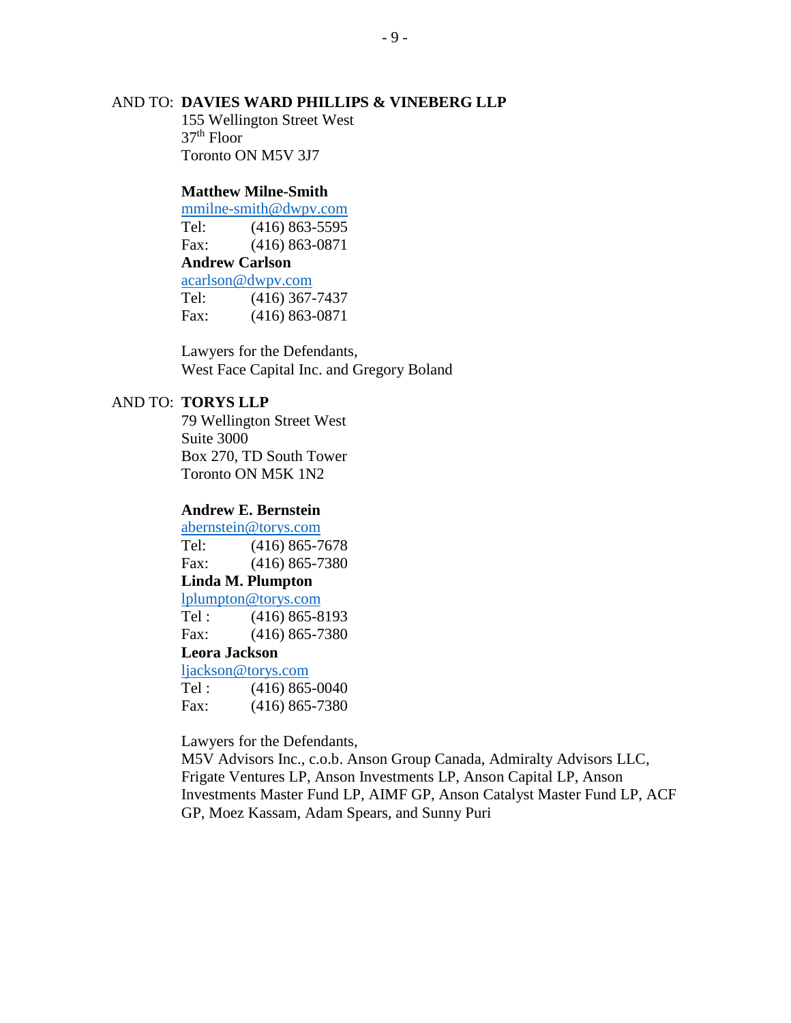## AND TO: **DAVIES WARD PHILLIPS & VINEBERG LLP**

155 Wellington Street West  $37<sup>th</sup>$  Floor Toronto ON M5V 3J7

## **Matthew Milne-Smith**

[mmilne-smith@dwpv.com](mailto:mmilne-smith@dwpv.com) Tel: (416) 863-5595 Fax: (416) 863-0871 **Andrew Carlson** [acarlson@dwpv.com](mailto:acarlson@dwpv.com)

|      | acarison w uw pv.com |
|------|----------------------|
| Tel: | $(416)$ 367-7437     |
| Fax: | $(416) 863 - 0871$   |

Lawyers for the Defendants, West Face Capital Inc. and Gregory Boland

#### AND TO: **TORYS LLP**

79 Wellington Street West Suite 3000 Box 270, TD South Tower Toronto ON M5K 1N2

#### **Andrew E. Bernstein**

[abernstein@torys.com](mailto:abernstein@torys.com) Tel: (416) 865-7678 Fax: (416) 865-7380

## **Linda M. Plumpton**

[lplumpton@torys.com](mailto:lplumpton@torys.com)

Tel : (416) 865-8193 Fax: (416) 865-7380

## **Leora Jackson**

[ljackson@torys.com](mailto:ljackson@torys.com) Tel :  $(416) 865 - 0040$ Fax: (416) 865-7380

Lawyers for the Defendants,

M5V Advisors Inc., c.o.b. Anson Group Canada, Admiralty Advisors LLC, Frigate Ventures LP, Anson Investments LP, Anson Capital LP, Anson Investments Master Fund LP, AIMF GP, Anson Catalyst Master Fund LP, ACF GP, Moez Kassam, Adam Spears, and Sunny Puri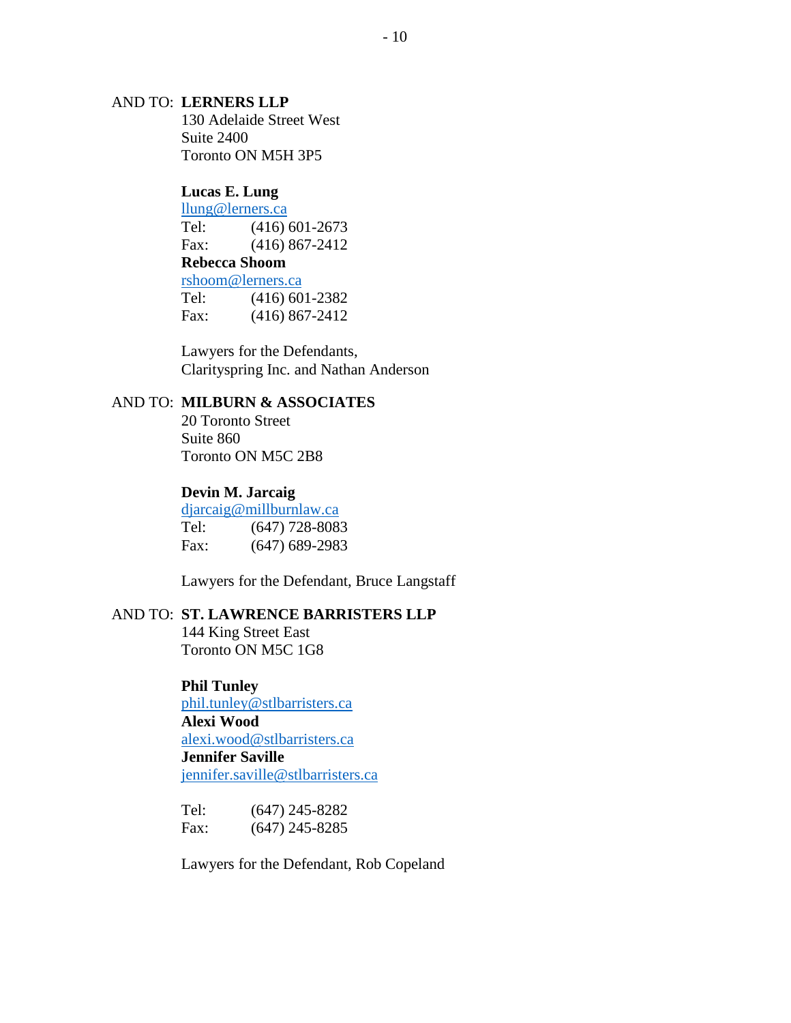#### AND TO: **LERNERS LLP**

130 Adelaide Street West Suite 2400 Toronto ON M5H 3P5

# **Lucas E. Lung**

[llung@lerners.ca](mailto:llung@lerners.ca) Tel: (416) 601-2673 Fax: (416) 867-2412 **Rebecca Shoom**  [rshoom@lerners.ca](mailto:rshoom@lerners.ca) Tel: (416) 601-2382

Fax: (416) 867-2412

Lawyers for the Defendants, Clarityspring Inc. and Nathan Anderson

## AND TO: **MILBURN & ASSOCIATES**

20 Toronto Street Suite 860 Toronto ON M5C 2B8

#### **Devin M. Jarcaig**

[djarcaig@millburnlaw.ca](mailto:djarcaig@millburnlaw.ca) Tel: (647) 728-8083 Fax: (647) 689-2983

Lawyers for the Defendant, Bruce Langstaff

### AND TO: **ST. LAWRENCE BARRISTERS LLP**

144 King Street East Toronto ON M5C 1G8

## **Phil Tunley**

[phil.tunley@stlbarristers.ca](mailto:phil.tunley@stlbarristers.ca) **Alexi Wood**  [alexi.wood@stlbarristers.ca](mailto:alexi.wood@stlbarristers.ca) **Jennifer Saville**  [jennifer.saville@stlbarristers.ca](mailto:jennifer.saville@stlbarristers.ca)

| Tel: | $(647)$ 245-8282 |
|------|------------------|
| Fax: | $(647)$ 245-8285 |

Lawyers for the Defendant, Rob Copeland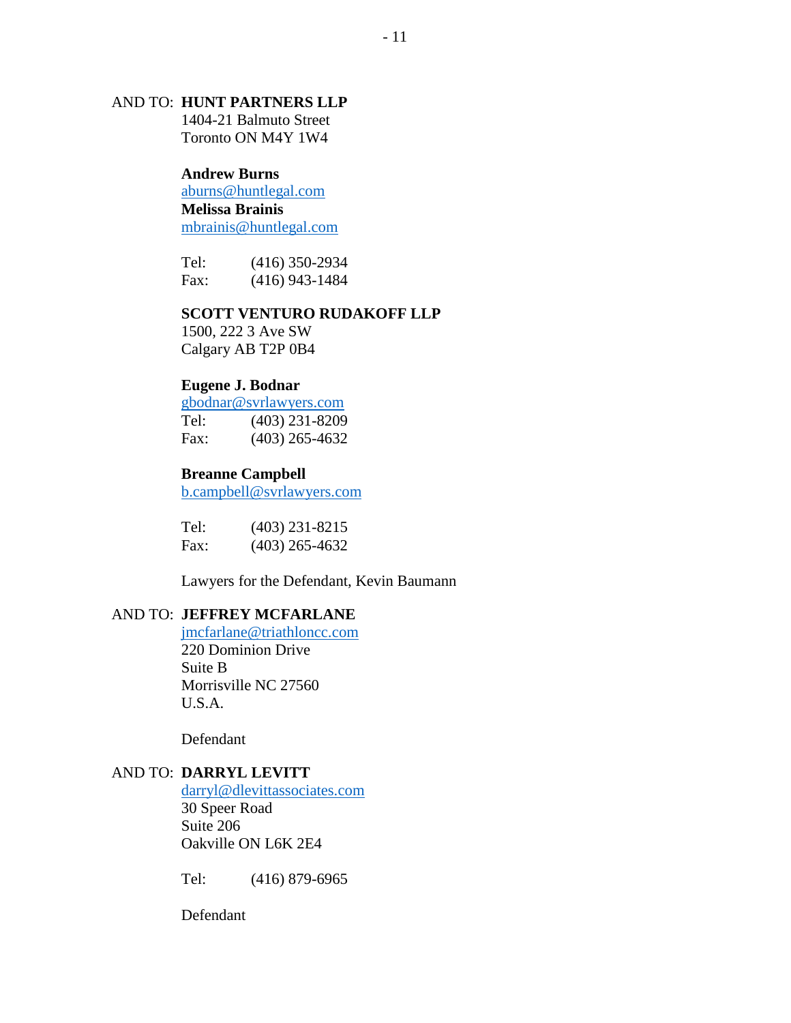## AND TO: **HUNT PARTNERS LLP**

1404-21 Balmuto Street Toronto ON M4Y 1W4

## **Andrew Burns**

[aburns@huntlegal.com](mailto:aburns@huntlegal.com) **Melissa Brainis**  [mbrainis@huntlegal.com](mailto:mbrainis@huntlegal.com)

Tel: (416) 350-2934 Fax: (416) 943-1484

## **SCOTT VENTURO RUDAKOFF LLP**

1500, 222 3 Ave SW Calgary AB T2P 0B4

#### **Eugene J. Bodnar**

[gbodnar@svrlawyers.com](mailto:gbodnar@svrlawyers.com) Tel: (403) 231-8209 Fax: (403) 265-4632

#### **Breanne Campbell**

[b.campbell@svrlawyers.com](mailto:b.campbell@svrlawyers.com)

| Tel: | $(403)$ 231-8215 |
|------|------------------|
| Fax: | $(403)$ 265-4632 |

Lawyers for the Defendant, Kevin Baumann

## AND TO: **JEFFREY MCFARLANE**

[jmcfarlane@triathloncc.com](mailto:jmcfarlane@triathloncc.com) 220 Dominion Drive Suite B Morrisville NC 27560 U.S.A.

Defendant

## AND TO: **DARRYL LEVITT**

[darryl@dlevittassociates.com](mailto:darryl@dlevittassociates.com) 30 Speer Road Suite 206 Oakville ON L6K 2E4

Tel: (416) 879-6965

Defendant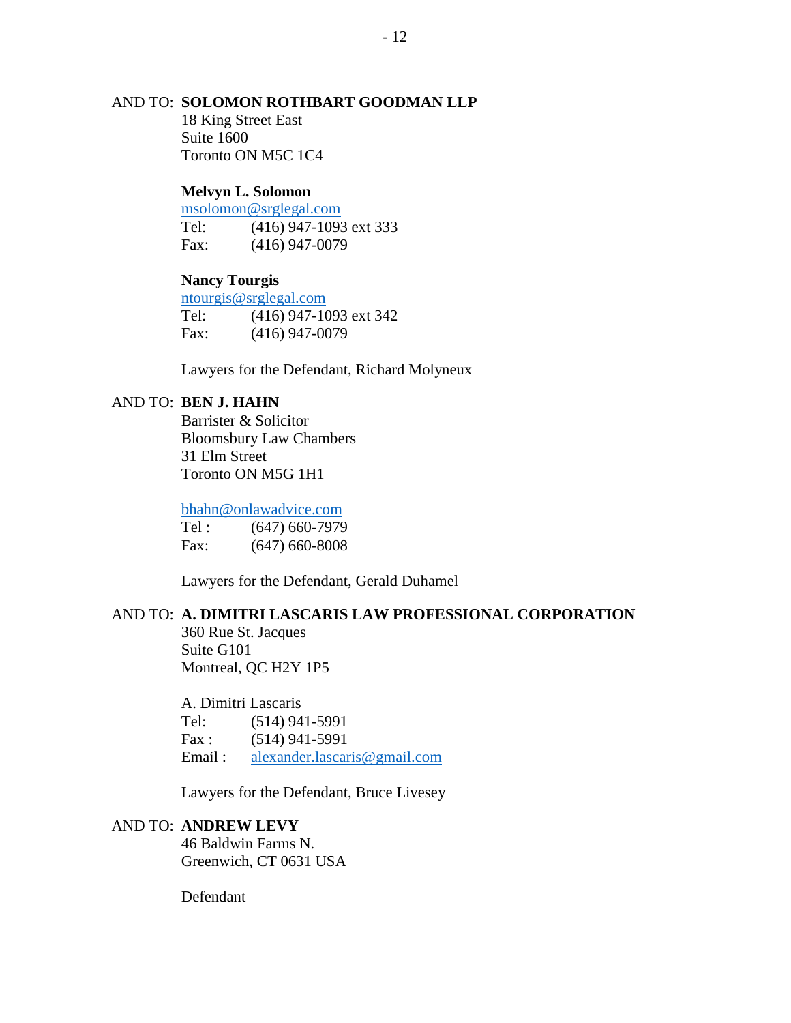## AND TO: **SOLOMON ROTHBART GOODMAN LLP**

18 King Street East Suite 1600 Toronto ON M5C 1C4

#### **Melvyn L. Solomon**

[msolomon@srglegal.com](mailto:msolomon@srglegal.com) Tel: (416) 947-1093 ext 333 Fax: (416) 947-0079

## **Nancy Tourgis**

[ntourgis@srglegal.com](mailto:ntourgis@srglegal.com) Tel: (416) 947-1093 ext 342 Fax: (416) 947-0079

Lawyers for the Defendant, Richard Molyneux

# AND TO: **BEN J. HAHN**

Barrister & Solicitor Bloomsbury Law Chambers 31 Elm Street Toronto ON M5G 1H1

#### [bhahn@onlawadvice.com](mailto:bhahn@onlawadvice.com)

Tel :  $(647)$  660-7979 Fax: (647) 660-8008

Lawyers for the Defendant, Gerald Duhamel

## AND TO: **A. DIMITRI LASCARIS LAW PROFESSIONAL CORPORATION**

360 Rue St. Jacques Suite G101 Montreal, QC H2Y 1P5

A. Dimitri Lascaris

Tel: (514) 941-5991

Fax : (514) 941-5991

Email : [alexander.lascaris@gmail.com](mailto:alexander.lascaris@gmail.com)

Lawyers for the Defendant, Bruce Livesey

## AND TO: **ANDREW LEVY**

46 Baldwin Farms N. Greenwich, CT 0631 USA

Defendant